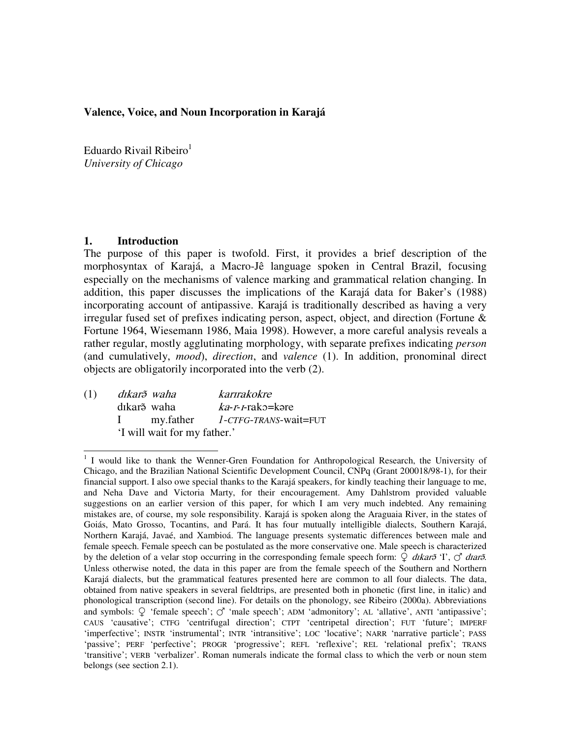#### **Valence, Voice, and Noun Incorporation in Karajá**

Eduardo Rivail Ribeiro<sup>1</sup> *University of Chicago*

## **1. Introduction**

The purpose of this paper is twofold. First, it provides a brief description of the morphosyntax of Karajá, a Macro-Jê language spoken in Central Brazil, focusing especially on the mechanisms of valence marking and grammatical relation changing. In addition, this paper discusses the implications of the Karajá data for Baker's (1988) incorporating account of antipassive. Karajá is traditionally described as having a very irregular fused set of prefixes indicating person, aspect, object, and direction (Fortune & Fortune 1964, Wiesemann 1986, Maia 1998). However, a more careful analysis reveals a rather regular, mostly agglutinating morphology, with separate prefixes indicating *person* (and cumulatively, *mood*), *direction*, and *valence* (1). In addition, pronominal direct objects are obligatorily incorporated into the verb (2).

| (1) | dıkar $\tilde{o}$ waha       | karırakokre                               |
|-----|------------------------------|-------------------------------------------|
|     | dıkar <sub>3</sub> waha      | $ka$ -r-rako=kare                         |
|     |                              | I my.father <i>l</i> -CTFG-TRANS-wait=FUT |
|     | 'I will wait for my father.' |                                           |

<sup>&</sup>lt;sup>1</sup> I would like to thank the Wenner-Gren Foundation for Anthropological Research, the University of Chicago, and the Brazilian National Scientific Development Council, CNPq (Grant 200018/98-1), for their financial support. I also owe special thanks to the Karajá speakers, for kindly teaching their language to me, and Neha Dave and Victoria Marty, for their encouragement. Amy Dahlstrom provided valuable suggestions on an earlier version of this paper, for which I am very much indebted. Any remaining mistakes are, of course, my sole responsibility. Karajá is spoken along the Araguaia River, in the states of Goiás, Mato Grosso, Tocantins, and Pará. It has four mutually intelligible dialects, Southern Karajá, Northern Karajá, Javaé, and Xambioá. The language presents systematic differences between male and female speech. Female speech can be postulated as the more conservative one. Male speech is characterized by the deletion of a velar stop occurring in the corresponding female speech form:  $\mathcal{Q}$  dikar $\tilde{\sigma}$  'I',  $\mathcal{O}'$  diar $\tilde{\sigma}$ . Unless otherwise noted, the data in this paper are from the female speech of the Southern and Northern Karajá dialects, but the grammatical features presented here are common to all four dialects. The data, obtained from native speakers in several fieldtrips, are presented both in phonetic (first line, in italic) and phonological transcription (second line). For details on the phonology, see Ribeiro (2000a). Abbreviations and symbols:  $\circ$  'female speech';  $\circlearrowleft$  'male speech'; ADM 'admonitory'; AL 'allative', ANTI 'antipassive'; CAUS 'causative'; CTFG 'centrifugal direction'; CTPT 'centripetal direction'; FUT 'future'; IMPERF 'imperfective'; INSTR 'instrumental'; INTR 'intransitive'; LOC 'locative'; NARR 'narrative particle'; PASS 'passive'; PERF 'perfective'; PROGR 'progressive'; REFL 'reflexive'; REL 'relational prefix'; TRANS 'transitive'; VERB 'verbalizer'. Roman numerals indicate the formal class to which the verb or noun stem belongs (see section 2.1).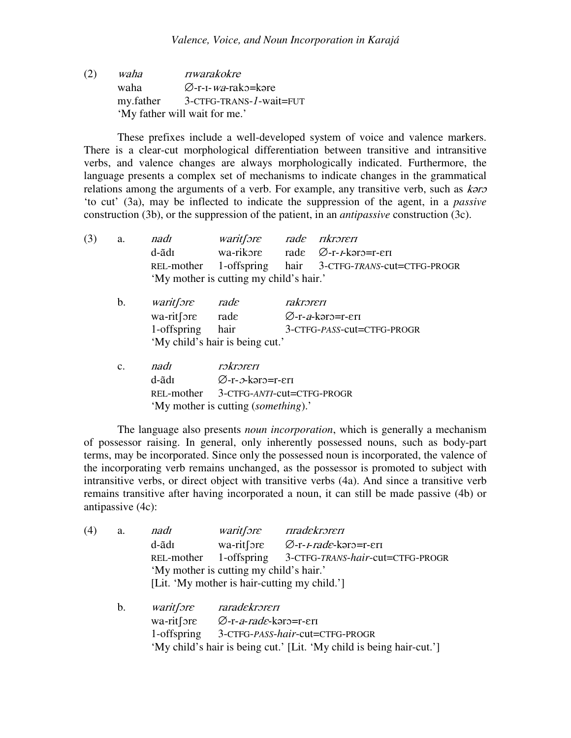$(2)$  waha  $\pi$ rwarakokre waha a ⊘-r-1-*wa*-rako=kəre my.father 3-CTFG-TRANS-*1*-wait=FUT 'My father will wait for me.'

These prefixes include a well-developed system of voice and valence markers. There is a clear-cut morphological differentiation between transitive and intransitive verbs, and valence changes are always morphologically indicated. Furthermore, the language presents a complex set of mechanisms to indicate changes in the grammatical relations among the arguments of a verb. For example, any transitive verb, such as kero 'to cut' (3a), may be inflected to indicate the suppression of the agent, in a *passive* construction (3b), or the suppression of the patient, in an *antipassive* construction (3c).

| (3) | a.             | nadı                      | waritfore rade rikroreri                    |                                        |                                                         |  |  |
|-----|----------------|---------------------------|---------------------------------------------|----------------------------------------|---------------------------------------------------------|--|--|
|     |                | d-ãdī                     |                                             |                                        | wa-rikore rade $\varnothing$ -r- <i>r</i> -koro=r-eri   |  |  |
|     |                |                           |                                             |                                        | REL-mother 1-offspring hair 3-CTFG-TRANS-cut=CTFG-PROGR |  |  |
|     |                |                           | 'My mother is cutting my child's hair.'     |                                        |                                                         |  |  |
|     | $\mathbf b$ .  | <i>waritfore</i>          | rade                                        | rakroreri                              |                                                         |  |  |
|     |                | $wa\text{-}rit[$ ore rade |                                             | $\varnothing$ -r- <i>a</i> -kərə=r-eri |                                                         |  |  |
|     |                | 1-offspring hair          |                                             |                                        | 3-CTFG-PASS-cut=CTFG-PROGR                              |  |  |
|     |                |                           | 'My child's hair is being cut.'             |                                        |                                                         |  |  |
|     | $\mathbf{c}$ . | nadı                      | rəkrəreri                                   |                                        |                                                         |  |  |
|     |                | d-ãdī                     | $\varnothing$ -r- $\vartheta$ -kərə=r-eri   |                                        |                                                         |  |  |
|     |                |                           | REL-mother 3-CTFG-ANTI-cut=CTFG-PROGR       |                                        |                                                         |  |  |
|     |                |                           | 'My mother is cutting <i>(something)</i> .' |                                        |                                                         |  |  |

The language also presents *noun incorporation*, which is generally a mechanism of possessor raising. In general, only inherently possessed nouns, such as body-part terms, may be incorporated. Since only the possessed noun is incorporated, the valence of the incorporating verb remains unchanged, as the possessor is promoted to subject with intransitive verbs, or direct object with transitive verbs (4a). And since a transitive verb remains transitive after having incorporated a noun, it can still be made passive (4b) or antipassive (4c):

| (4) | a. | nadı                           | <i>waritfore</i>                            | riradekroreri                                        |
|-----|----|--------------------------------|---------------------------------------------|------------------------------------------------------|
|     |    | d-ãdī                          |                                             | wa-rit [ore $\emptyset$ -r- <i>I-rade</i> -koro=r-er |
|     |    | REL-mother                     | 1-offspring                                 | 3-CTFG-TRANS-hair-cut=CTFG-PROGR                     |
|     |    |                                | 'My mother is cutting my child's hair.'     |                                                      |
|     |    |                                |                                             | [Lit. 'My mother is hair-cutting my child.']         |
|     | b. | <i>waritfore</i>               | raradekroreri                               |                                                      |
|     |    | $wa$ -rit $[$ or $\varepsilon$ | $\varnothing$ -r- <i>a-rade</i> -kərə=r-eri |                                                      |

1-offspring 3-CTFG-*PASS*-*hair*-cut=CTFG-PROGR

'My child's hair is being cut.' [Lit. 'My child is being hair-cut.']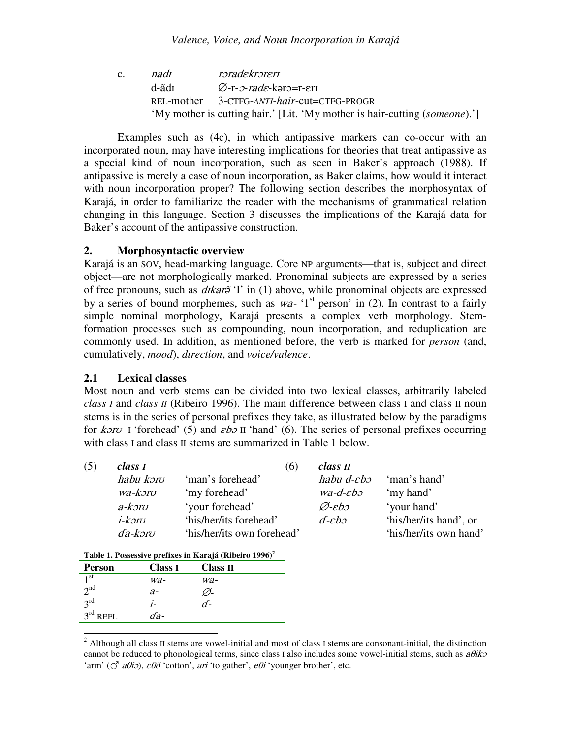$c.$   $nad<sub>I</sub>$ roradekroreri d-ãdı Ø-r-*2-rade*-kar2=r-eri REL-mother 3-CTFG-*ANTI*-*hair*-cut=CTFG-PROGR 'My mother is cutting hair.' [Lit. 'My mother is hair-cutting (*someone*).']

Examples such as (4c), in which antipassive markers can co-occur with an incorporated noun, may have interesting implications for theories that treat antipassive as a special kind of noun incorporation, such as seen in Baker's approach (1988). If antipassive is merely a case of noun incorporation, as Baker claims, how would it interact with noun incorporation proper? The following section describes the morphosyntax of Karajá, in order to familiarize the reader with the mechanisms of grammatical relation changing in this language. Section 3 discusses the implications of the Karajá data for Baker's account of the antipassive construction.

## **2. Morphosyntactic overview**

Karajá is an SOV, head-marking language. Core NP arguments—that is, subject and direct object—are not morphologically marked. Pronominal subjects are expressed by a series of free pronouns, such as *dikar*<sup>5</sup> 'I' in (1) above, while pronominal objects are expressed by a series of bound morphemes, such as  $wa$ - '1<sup>st</sup> person' in (2). In contrast to a fairly simple nominal morphology, Karajá presents a complex verb morphology. Stemformation processes such as compounding, noun incorporation, and reduplication are commonly used. In addition, as mentioned before, the verb is marked for *person* (and, cumulatively, *mood*), *direction*, and *voice/valence*.

## **2.1 Lexical classes**

Most noun and verb stems can be divided into two lexical classes, arbitrarily labeled *class I* and *class II* (Ribeiro 1996). The main difference between class I and class II noun stems is in the series of personal prefixes they take, as illustrated below by the paradigms for  $k$ *oru* I 'forehead' (5) and  $\varepsilon$ *bo* II 'hand' (6). The series of personal prefixes occurring with class I and class II stems are summarized in Table 1 below.

| (5) | class I              | (6)                        | class II                   |                        |
|-----|----------------------|----------------------------|----------------------------|------------------------|
|     | habu kərv            | 'man's forehead'           | habu d-eho                 | 'man's hand'           |
|     | wa-koro              | 'my forehead'              | $wa-d-\varepsilon b\infty$ | 'my hand'              |
|     | a-kəro               | 'your forehead'            | Ø-ebə                      | 'your hand'            |
|     | i-kəru               | 'his/her/its forehead'     | $d$ - $eb$                 | 'his/her/its hand', or |
|     | $da$ -kər $\upsilon$ | 'his/her/its own forehead' |                            | 'his/her/its own hand' |

#### **Table 1. Possessive prefixes in Karajá (Ribeiro 1996) 2**

| <b>Person</b>           | <b>Class I</b> | Class II |
|-------------------------|----------------|----------|
| 1 <sup>st</sup>         | wa-            | wa-      |
| 2 <sub>nd</sub>         | $a-$           | ∽-       |
| $3^{\text{rd}}$         | $1-$           | ₫-       |
| $3^{\text{rd}}$<br>REFL | da-            |          |

 $2$  Although all class II stems are vowel-initial and most of class I stems are consonant-initial, the distinction cannot be reduced to phonological terms, since class I also includes some vowel-initial stems, such as  $a\theta$ iko 'arm' ( $\circlearrowleft$  *a* $\theta$ *i*),  $\varepsilon \theta \tilde{o}$  'cotton', *ari* 'to gather',  $e\theta i$ 'younger brother', etc.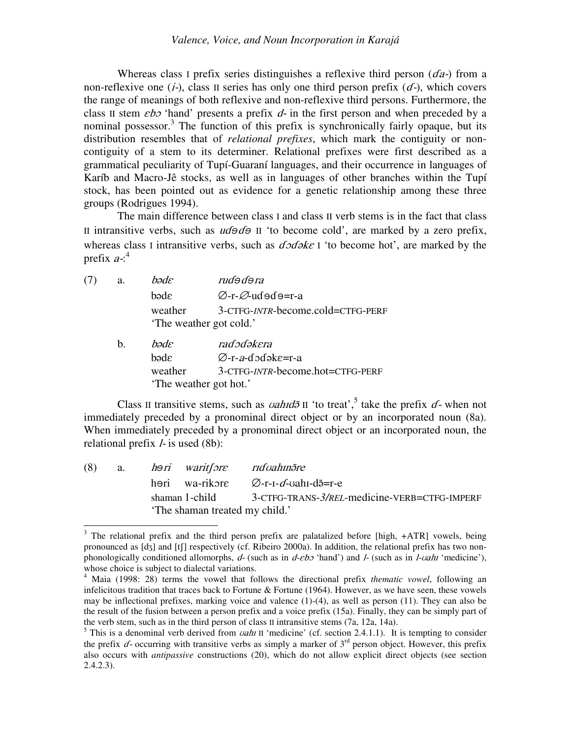Whereas class I prefix series distinguishes a reflexive third person  $(d\mathbf{a})$  from a non-reflexive one  $(i-)$ , class II series has only one third person prefix  $(d-)$ , which covers the range of meanings of both reflexive and non-reflexive third persons. Furthermore, the class II stem  $\epsilon b$  'hand' presents a prefix  $d$ - in the first person and when preceded by a nominal possessor.<sup>3</sup> The function of this prefix is synchronically fairly opaque, but its distribution resembles that of *relational prefixes*, which mark the contiguity or noncontiguity of a stem to its determiner. Relational prefixes were first described as a grammatical peculiarity of Tupí-Guaraní languages, and their occurrence in languages of Karíb and Macro-Jê stocks, as well as in languages of other branches within the Tupí stock, has been pointed out as evidence for a genetic relationship among these three groups (Rodrigues 1994).

The main difference between class I and class II verb stems is in the fact that class II intransitive verbs, such as  $u d\Theta d\Theta$  II 'to become cold', are marked by a zero prefix, whereas class I intransitive verbs, such as  $d\sigma d\phi k\epsilon$  I 'to become hot', are marked by the prefix  $a:^4$ 

| (7) | a. | bəde    | rudə dəra                                                    |
|-----|----|---------|--------------------------------------------------------------|
|     |    | bəde    | $\varnothing$ -r- $\varnothing$ -udədə=r-a                   |
|     |    | weather | 3-CTFG-INTR-become.cold=CTFG-PERF<br>'The weather got cold.' |
|     | h. | hade    | radədəkera                                                   |

| <b>J.</b> | vəuc                   | iau judhcia                            |
|-----------|------------------------|----------------------------------------|
|           | bəde                   | $\varnothing$ -r- <i>a</i> -dodəke=r-a |
|           | weather                | 3-CTFG-INTR-become.hot=CTFG-PERF       |
|           | 'The weather got hot.' |                                        |

Class II transitive stems, such as *vahid* iI 'to treat',<sup>5</sup> take the prefix  $d$ - when not immediately preceded by a pronominal direct object or by an incorporated noun (8a). When immediately preceded by a pronominal direct object or an incorporated noun, the relational prefix *- is used (8b):* 

| (8) | a. <i>h</i> əri waritsore ridvahin <i>õre</i> |                                                     |
|-----|-----------------------------------------------|-----------------------------------------------------|
|     |                                               | həri wa-rikore $\varnothing$ -r-I- $d$ -vahI-də=r-e |
|     | shaman 1-child                                | 3-CTFG-TRANS-3/REL-medicine-VERB=CTFG-IMPERF        |
|     | 'The shaman treated my child.'                |                                                     |

 $3$  The relational prefix and the third person prefix are palatalized before [high,  $+ATR$ ] vowels, being pronounced as [dʒ] and [tʃ] respectively (cf. Ribeiro 2000a). In addition, the relational prefix has two nonphonologically conditioned allomorphs,  $d$ - (such as in  $d$ - $eb$  'hand') and  $l$ - (such as in  $l$ - $vahr$  'medicine'), whose choice is subject to dialectal variations.

<sup>4</sup> Maia (1998: 28) terms the vowel that follows the directional prefix *thematic vowel*, following an infelicitous tradition that traces back to Fortune  $\&$  Fortune (1964). However, as we have seen, these vowels may be inflectional prefixes, marking voice and valence (1)-(4), as well as person (11). They can also be the result of the fusion between a person prefix and a voice prefix (15a). Finally, they can be simply part of the verb stem, such as in the third person of class II intransitive stems (7a, 12a, 14a).

<sup>&</sup>lt;sup>5</sup> This is a denominal verb derived from *vahi* II 'medicine' (cf. section 2.4.1.1). It is tempting to consider the prefix  $d$ - occurring with transitive verbs as simply a marker of  $3<sup>rd</sup>$  person object. However, this prefix also occurs with *antipassive* constructions (20), which do not allow explicit direct objects (see section 2.4.2.3).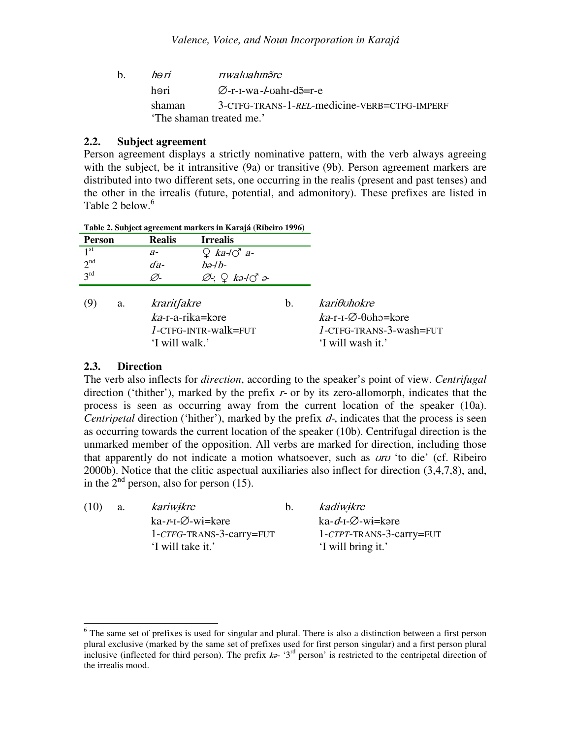| $h_{-}$ | ho ri  | riwalyahingre                                             |
|---------|--------|-----------------------------------------------------------|
|         | həri   | $\varnothing$ -r-1-wa <i>-l</i> -vah1-d <del>õ</del> =r-e |
|         | shaman | 3-CTFG-TRANS-1-REL-medicine-VERB=CTFG-IMPERF              |
|         |        | 'The shaman treated me.'                                  |
|         |        |                                                           |

## **2.2. Subject agreement**

Person agreement displays a strictly nominative pattern, with the verb always agreeing with the subject, be it intransitive (9a) or transitive (9b). Person agreement markers are distributed into two different sets, one occurring in the realis (present and past tenses) and the other in the irrealis (future, potential, and admonitory). These prefixes are listed in Table 2 below.<sup>6</sup>

| Table 2. Subject agreement markers in Karajá (Ribeiro 1996) |                                                      |                                                      |    |                                                                                                             |
|-------------------------------------------------------------|------------------------------------------------------|------------------------------------------------------|----|-------------------------------------------------------------------------------------------------------------|
| <b>Person</b>                                               | <b>Realis</b>                                        | <b>Irrealis</b>                                      |    |                                                                                                             |
| 1 <sup>st</sup>                                             | $a-$                                                 | $Q$ ka- $\overrightarrow{O}$ a-                      |    |                                                                                                             |
| 2 <sup>nd</sup>                                             | $da-$                                                | bə-lb-                                               |    |                                                                                                             |
| $3^{\text{rd}}$                                             | Ø-                                                   | $\varnothing$ ; $\bigcirc$ kə-l $\circlearrowleft$ ə |    |                                                                                                             |
| (9)<br>a.                                                   | kraritfakre<br>$ka$ -r-a-rika=kəre<br>'I will walk.' | $l$ -CTFG-INTR-walk=FUT                              | b. | kariθυhokre<br>$ka$ -r-1- $\varnothing$ - $\theta$ uho=kəre<br>1-CTFG-TRANS-3-wash=FUT<br>'I will wash it.' |

#### **2.3. Direction**

The verb also inflects for *direction*, according to the speaker's point of view. *Centrifugal* direction ('thither'), marked by the prefix  $r$ - or by its zero-allomorph, indicates that the process is seen as occurring away from the current location of the speaker (10a). *Centripetal* direction ('hither'), marked by the prefix  $d$ -, indicates that the process is seen as occurring towards the current location of the speaker (10b). Centrifugal direction is the unmarked member of the opposition. All verbs are marked for direction, including those that apparently do not indicate a motion whatsoever, such as  $\alpha \nu \nu$  'to die' (cf. Ribeiro) 2000b). Notice that the clitic aspectual auxiliaries also inflect for direction (3,4,7,8), and, in the  $2<sup>nd</sup>$  person, also for person (15).

| (10) | a. | kariwikre                   | $b^{\prime}$ | kadiwikre                       |
|------|----|-----------------------------|--------------|---------------------------------|
|      |    | $ka-r-I-\emptyset-wi= kore$ |              | ka-d-1- $\varnothing$ -wi=kare  |
|      |    | 1-CTFG-TRANS-3-carry=FUT    |              | $1$ - $CTPT$ -TRANS-3-carry=FUT |
|      |    | 'I will take it.'           |              | 'I will bring it.'              |
|      |    |                             |              |                                 |

 $6$  The same set of prefixes is used for singular and plural. There is also a distinction between a first person plural exclusive (marked by the same set of prefixes used for first person singular) and a first person plural inclusive (inflected for third person). The prefix  $k$ - '3<sup>rd</sup> person' is restricted to the centripetal direction of the irrealis mood.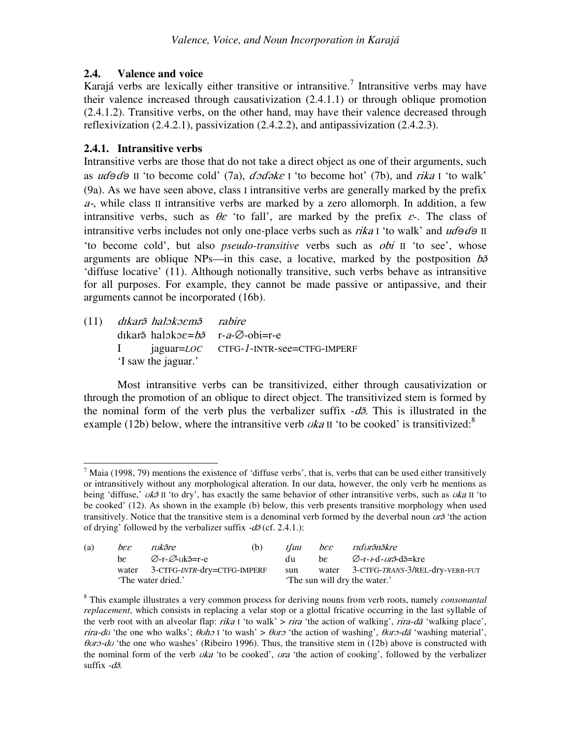## **2.4. Valence and voice**

Karajá verbs are lexically either transitive or intransitive.<sup>7</sup> Intransitive verbs may have their valence increased through causativization (2.4.1.1) or through oblique promotion (2.4.1.2). Transitive verbs, on the other hand, may have their valence decreased through reflexivization (2.4.2.1), passivization (2.4.2.2), and antipassivization (2.4.2.3).

## **2.4.1. Intransitive verbs**

Intransitive verbs are those that do not take a direct object as one of their arguments, such as  $\vec{u}$   $\vec{\theta}$  as  $\vec{u}$  to become cold' (7a),  $\vec{\theta}$   $\vec{\theta}$  as it is become hot' (7b), and  $\vec{\theta}$  it is walk' (9a). As we have seen above, class I intransitive verbs are generally marked by the prefix  $a$ -, while class II intransitive verbs are marked by a zero allomorph. In addition, a few intransitive verbs, such as  $\theta \varepsilon$  'to fall', are marked by the prefix  $\varepsilon$ -. The class of intransitive verbs includes not only one-place verbs such as  $rika I'$  to walk' and  $ud\Theta d\Theta II$ 'to become cold', but also *pseudo-transitive* verbs such as *obi* II 'to see', whose arguments are oblique NPs—in this case, a locative, marked by the postposition  $b\tilde{\sigma}$ 'diffuse locative' (11). Although notionally transitive, such verbs behave as intransitive for all purposes. For example, they cannot be made passive or antipassive, and their arguments cannot be incorporated (16b).

 $(11)$ karð halokoemð - rabire dīkar<del>s</del> halokoε=bə r-a-Ø-obi=r-e I jaguar=*LOC* CTFG-*1*-INTR-see=CTFG-IMPERF 'I saw the jaguar.'

Most intransitive verbs can be transitivized, either through causativization or through the promotion of an oblique to direct object. The transitivized stem is formed by the nominal form of the verb plus the verbalizer suffix  $-d\tilde{\sigma}$ . This is illustrated in the example (12b) below, where the intransitive verb  $uka \, \text{II}$  'to be cooked' is transitivized:<sup>8</sup>

 $<sup>7</sup>$  Maia (1998, 79) mentions the existence of 'diffuse verbs', that is, verbs that can be used either transitively</sup> or intransitively without any morphological alteration. In our data, however, the only verb he mentions as being 'diffuse,'  $uk\tilde{\sigma}$  II 'to dry', has exactly the same behavior of other intransitive verbs, such as  $uka$  II 'to be cooked' (12). As shown in the example (b) below, this verb presents transitive morphology when used transitively. Notice that the transitive stem is a denominal verb formed by the deverbal noun  $\alpha r^3$  'the action of drying' followed by the verbalizer suffix  $-d\tilde{\sigma}$  (cf. 2.4.1.):

| (a)               | $b \varepsilon \varepsilon$ | rokãre                            | (b) | t <i>fuu</i>                  | $b \varepsilon \varepsilon$ | ridurðnðkre                                                                        |
|-------------------|-----------------------------|-----------------------------------|-----|-------------------------------|-----------------------------|------------------------------------------------------------------------------------|
|                   | he i                        | Ø-r-Ø-ukã=r-e                     |     | du                            |                             | $be \qquad \varnothing$ -r- <i>r</i> -d- <i>or</i> $\tilde{a}$ -d $\tilde{a}$ =kre |
|                   |                             | water 3-CTFG-INTR-dry=CTFG-IMPERF |     | sun                           |                             | water 3-CTFG-TRANS-3/REL-dry-VERB-FUT                                              |
| The water dried.' |                             |                                   |     | 'The sun will dry the water.' |                             |                                                                                    |

<sup>8</sup> This example illustrates a very common process for deriving nouns from verb roots, namely *consonantal replacement*, which consists in replacing a velar stop or a glottal fricative occurring in the last syllable of the verb root with an alveolar flap:  $rika$  I 'to walk'  $>$   $rira$  'the action of walking',  $rira$ -dã 'walking place', rira-do 'the one who walks';  $\theta$ oho I 'to wash' >  $\theta$ oro 'the action of washing',  $\theta$ oro-dã 'washing material',  $\theta$ *uro-du* 'the one who washes' (Ribeiro 1996). Thus, the transitive stem in (12b) above is constructed with the nominal form of the verb  $\nu ka'$  to be cooked',  $\nu ra'$  the action of cooking', followed by the verbalizer suffix  $-d\tilde{a}$ .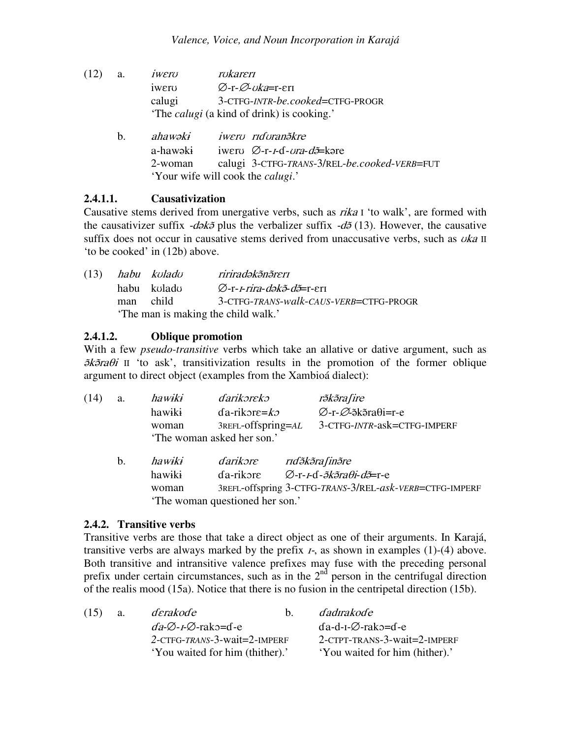- $(12)$  a. *iwero rokaren* iwerv  $\varnothing$ -r- $\varnothing$ -vka=r-err calugi 3-CTFG-*INTR*-*be.cooked*=CTFG-PROGR 'The *calugi* (a kind of drink) is cooking.'
	- b.  $ahawəki$ awəki iweru nduranəkre a-hawaki awəki iwero ∅-r-*1*-ɗ*-ora-dõ*=kəre 2-woman calugi 3-CTFG-*TRANS*-3/REL-*be.cooked*-*VERB*=FUT 'Your wife will cook the *calugi*.'

## **2.4.1.1. Causativization**

Causative stems derived from unergative verbs, such as  $rika I$  'to walk', are formed with the causativizer suffix  $-d \delta \phi$  plus the verbalizer suffix  $-d \delta$  (13). However, the causative suffix does not occur in causative stems derived from unaccusative verbs, such as  $\partial k \hat{a}$  II 'to be cooked' in (12b) above.

|                                     |           | $(13)$ habu kuladu | ririradəkənəreri                       |  |  |  |
|-------------------------------------|-----------|--------------------|----------------------------------------|--|--|--|
|                                     |           | habu kuladu        | Ø-r- <i>1-rira-dəkə̃-də̃</i> =r-erī    |  |  |  |
|                                     | man child |                    | 3-CTFG-TRANS-walk-CAUS-VERB=CTFG-PROGR |  |  |  |
| 'The man is making the child walk.' |           |                    |                                        |  |  |  |

## **2.4.1.2. Oblique promotion**

With a few *pseudo-transitive* verbs which take an allative or dative argument, such as  $\delta k \delta r$  II 'to ask', transitivization results in the promotion of the former oblique argument to direct object (examples from the Xambioá dialect):

| (14) | a.             | hawiki | darikoreko                     | rðkðrafire                                                                                     |
|------|----------------|--------|--------------------------------|------------------------------------------------------------------------------------------------|
|      |                | hawiki | $da$ -rikore= $k$              | $\varnothing$ -r- $\varnothing$ - $\tilde{\triangle}$ sk $\tilde{\triangle}$ ra $\theta$ i=r-e |
|      |                | woman  | $3$ REFL-Offspring= $AL$       | 3-CTFG-INTR-ask=CTFG-IMPERF                                                                    |
|      |                |        | 'The woman asked her son.'     |                                                                                                |
|      | $\mathbf{b}$ . | hawiki | darikəre                       | rıdə̃kə̃ra finə̃re                                                                             |
|      |                | hawiki | da-rikore                      | $\varnothing$ -r- <i>I</i> -d- <i>ə̃kə̃raθi-də</i> =r-e                                        |
|      |                | woman  |                                | 3REFL-offspring 3-CTFG-TRANS-3/REL-ask-VERB=CTFG-IMPERF                                        |
|      |                |        | The woman questioned her son.' |                                                                                                |

# **2.4.2. Transitive verbs**

Transitive verbs are those that take a direct object as one of their arguments. In Karajá, transitive verbs are always marked by the prefix  $I<sub>z</sub>$ , as shown in examples (1)-(4) above. Both transitive and intransitive valence prefixes may fuse with the preceding personal prefix under certain circumstances, such as in the  $2<sup>nd</sup>$  person in the centrifugal direction of the realis mood (15a). Notice that there is no fusion in the centripetal direction (15b).

| (15) | a. | derakode                                       | h. | <i>dadirakode</i>              |
|------|----|------------------------------------------------|----|--------------------------------|
|      |    | $da - \varnothing - t - \varnothing$ -rako=d-e |    | $da-d-I-\varnothing$ -rako=d-e |
|      |    | $2$ -CTFG-TRANS-3-Wait=2-IMPERF                |    | 2-CTPT-TRANS-3-wait=2-IMPERF   |
|      |    | 'You waited for him (thither).'                |    | 'You waited for him (hither).' |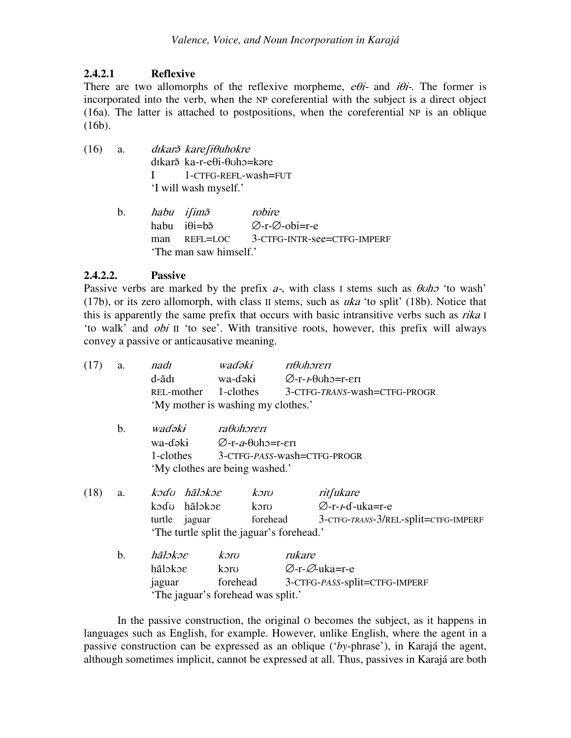## **2.4.2.1 Reflexive**

There are two allomorphs of the reflexive morpheme,  $e\theta i$ - and  $i\theta i$ -. The former is incorporated into the verb, when the NP coreferential with the subject is a direct object (16a). The latter is attached to postpositions, when the coreferential NP is an oblique (16b).

- $(16)$  a. kar̃ð kare∫iθuhokre dıkar<sub>i</sub> ka-r-eθi-θυho=kare I 1-CTFG-REFL-wash=FUT 'I will wash myself.'
	- b. habu ifim<sup>3</sup> robire habu  $i\theta$ i=b $\tilde{e}$  ∅ ∅ man REFL=LOC 3-CTFG-INTR-see=CTFG-IMPERF 'The man saw himself.'

## **2.4.2.2. Passive**

Passive verbs are marked by the prefix  $a$ -, with class I stems such as  $\theta$ *uho* 'to wash' (17b), or its zero allomorph, with class II stems, such as  *'to split' (18b). Notice that* this is apparently the same prefix that occurs with basic intransitive verbs such as  $rika I$ 'to walk' and  $\phi b$  II 'to see'. With transitive roots, however, this prefix will always convey a passive or anticausative meaning.

| (17) | a.            | nadı                           | waɗəki                                                  | riθuhoreri                                                       |  |  |  |  |
|------|---------------|--------------------------------|---------------------------------------------------------|------------------------------------------------------------------|--|--|--|--|
|      |               | d-ãdı                          |                                                         | wa-dəki $\emptyset$ -r- <i>I</i> - $\theta$ uho=r- $\epsilon$ rı |  |  |  |  |
|      |               |                                |                                                         | REL-mother 1-clothes 3-CTFG-TRANS-wash=CTFG-PROGR                |  |  |  |  |
|      |               |                                | 'My mother is washing my clothes.'                      |                                                                  |  |  |  |  |
|      | $\mathbf b$ . | wadəki ra <del>l</del> uhəreri |                                                         |                                                                  |  |  |  |  |
|      |               |                                | wa-dəki $\emptyset$ -r-a- $\theta$ uho=r- $\epsilon$ rı |                                                                  |  |  |  |  |
|      |               |                                |                                                         | 1-clothes 3-CTFG-PASS-wash=CTFG-PROGR                            |  |  |  |  |
|      |               |                                | 'My clothes are being washed.'                          |                                                                  |  |  |  |  |
| (18) |               | a. <i>kodu hãlokoe</i>         | kərv                                                    | ritfukare                                                        |  |  |  |  |
|      |               | kədu hãləkəs                   | kəru                                                    | $\varnothing$ -r- <i>r</i> -d-uka=r-e                            |  |  |  |  |
|      |               | turtle<br>jaguar               | forehead                                                | 3-CTFG-TRANS-3/REL-split=CTFG-IMPERF                             |  |  |  |  |
|      |               |                                | The turtle split the jaguar's forehead.'                |                                                                  |  |  |  |  |
|      | $\mathbf b$ . | hãlokoe                        | kərv                                                    | rukare                                                           |  |  |  |  |
|      |               | hãlokoe                        | koro                                                    | ⊘-r-⊘-uka=r-e                                                    |  |  |  |  |
|      |               | jaguar                         |                                                         | forehead 3-CTFG-PASS-split=CTFG-IMPERF                           |  |  |  |  |
|      |               |                                | 'The jaguar's forehead was split.'                      |                                                                  |  |  |  |  |
|      |               |                                |                                                         |                                                                  |  |  |  |  |

In the passive construction, the original O becomes the subject, as it happens in languages such as English, for example. However, unlike English, where the agent in a passive construction can be expressed as an oblique ('*by*-phrase'), in Karajá the agent, although sometimes implicit, cannot be expressed at all. Thus, passives in Karajá are both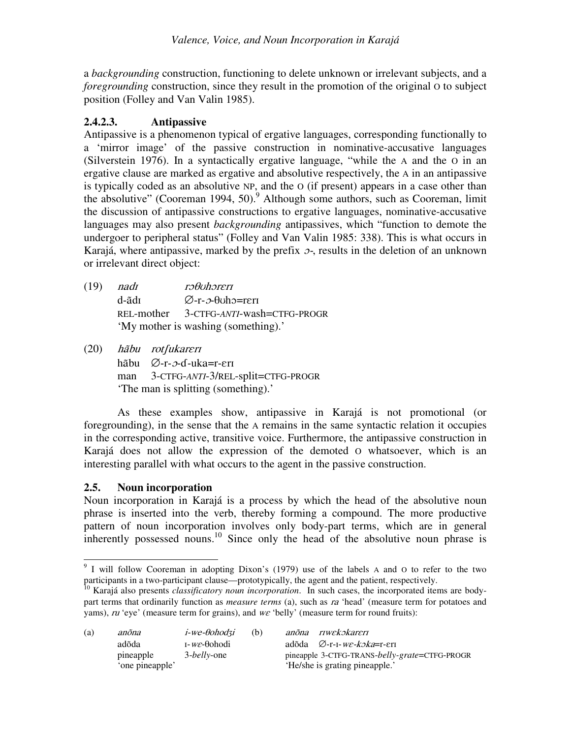a *backgrounding* construction, functioning to delete unknown or irrelevant subjects, and a *foregrounding* construction, since they result in the promotion of the original O to subject position (Folley and Van Valin 1985).

## **2.4.2.3. Antipassive**

Antipassive is a phenomenon typical of ergative languages, corresponding functionally to a 'mirror image' of the passive construction in nominative-accusative languages (Silverstein 1976). In a syntactically ergative language, "while the A and the O in an ergative clause are marked as ergative and absolutive respectively, the A in an antipassive is typically coded as an absolutive NP, and the O (if present) appears in a case other than the absolutive" (Cooreman 1994, 50). <sup>9</sup> Although some authors, such as Cooreman, limit the discussion of antipassive constructions to ergative languages, nominative-accusative languages may also present *backgrounding* antipassives, which "function to demote the undergoer to peripheral status" (Folley and Van Valin 1985: 338). This is what occurs in Karajá, where antipassive, marked by the prefix  $\sigma$ , results in the deletion of an unknown or irrelevant direct object:

- $(19)$  *nadi* rəfotbar bir bir qəyazindən baş baş azərbaycan baş azərbaycan baş azərbaycan baş azərbaycan baş azərbaycan baş  $d$ -ã $d$ r  $\varnothing$ -r- $\vartheta$ -obh $\varphi$ =reri REL-mother 3-CTFG-*ANTI*-wash=CTFG-PROGR 'My mother is washing (something).'
- (20) ãbu rotfukareri hãbu ⊘-r-*ว*-ɗ-uka=r-ɛrɪ man 3-CTFG-*ANTI*-3/REL-split=CTFG-PROGR

'The man is splitting (something).'

As these examples show, antipassive in Karajá is not promotional (or foregrounding), in the sense that the A remains in the same syntactic relation it occupies in the corresponding active, transitive voice. Furthermore, the antipassive construction in Karajá does not allow the expression of the demoted O whatsoever, which is an interesting parallel with what occurs to the agent in the passive construction.

## **2.5. Noun incorporation**

Noun incorporation in Karajá is a process by which the head of the absolutive noun phrase is inserted into the verb, thereby forming a compound. The more productive pattern of noun incorporation involves only body-part terms, which are in general inherently possessed nouns.<sup>10</sup> Since only the head of the absolutive noun phrase is

<sup>10</sup> Karajá also presents *classificatory noun incorporation*. In such cases, the incorporated items are bodypart terms that ordinarily function as *measure terms* (a), such as *ra* 'head' (measure term for potatoes and yams),  $ru'$  eye' (measure term for grains), and  $w\epsilon$  'belly' (measure term for round fruits):

| (a)             | anõna     | $i$ -we- $\theta$ ohodzi         | (b) |                                | anõna riwekokareri                              |  |  |
|-----------------|-----------|----------------------------------|-----|--------------------------------|-------------------------------------------------|--|--|
|                 | adõda     | $I$ - <i>we</i> - $\theta$ ohodi |     |                                | adõda $\varnothing$ -r-I- <i>we-koka</i> =r-eri |  |  |
|                 | pineapple | 3- <i>belly</i> -one             |     |                                | pineapple 3-CTFG-TRANS-belly-grate=CTFG-PROGR   |  |  |
| 'one pineapple' |           |                                  |     | 'He/she is grating pineapple.' |                                                 |  |  |

<sup>&</sup>lt;sup>9</sup> I will follow Cooreman in adopting Dixon's (1979) use of the labels A and O to refer to the two participants in a two-participant clause—prototypically, the agent and the patient, respectively.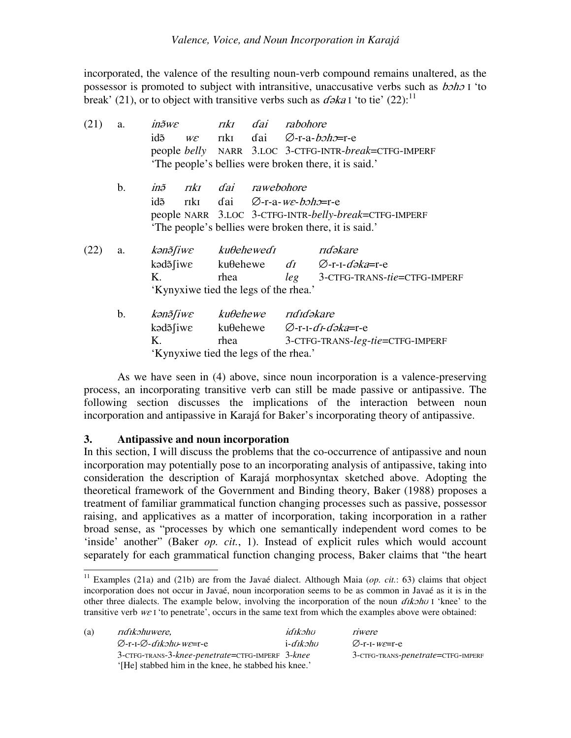incorporated, the valence of the resulting noun-verb compound remains unaltered, as the possessor is promoted to subject with intransitive, unaccusative verbs such as  $b$ oho I 'to break' (21), or to object with transitive verbs such as  $d\phi k a$  I 'to tie' (22):<sup>11</sup>

| a.                                    | $in\tilde{\sigma}$ we                 |      |                |          |                                                                                                                                                                                                                                                                                                                                                                                                                                                                                                                                                                                                        |
|---------------------------------------|---------------------------------------|------|----------------|----------|--------------------------------------------------------------------------------------------------------------------------------------------------------------------------------------------------------------------------------------------------------------------------------------------------------------------------------------------------------------------------------------------------------------------------------------------------------------------------------------------------------------------------------------------------------------------------------------------------------|
|                                       | idõ                                   |      |                |          |                                                                                                                                                                                                                                                                                                                                                                                                                                                                                                                                                                                                        |
|                                       |                                       |      |                |          |                                                                                                                                                                                                                                                                                                                                                                                                                                                                                                                                                                                                        |
|                                       |                                       |      |                |          |                                                                                                                                                                                                                                                                                                                                                                                                                                                                                                                                                                                                        |
| $\mathbf b$ .                         |                                       |      |                |          |                                                                                                                                                                                                                                                                                                                                                                                                                                                                                                                                                                                                        |
|                                       | idõ                                   |      |                |          |                                                                                                                                                                                                                                                                                                                                                                                                                                                                                                                                                                                                        |
|                                       |                                       |      |                |          |                                                                                                                                                                                                                                                                                                                                                                                                                                                                                                                                                                                                        |
|                                       |                                       |      |                |          |                                                                                                                                                                                                                                                                                                                                                                                                                                                                                                                                                                                                        |
| a.                                    |                                       |      |                |          |                                                                                                                                                                                                                                                                                                                                                                                                                                                                                                                                                                                                        |
|                                       |                                       |      |                |          |                                                                                                                                                                                                                                                                                                                                                                                                                                                                                                                                                                                                        |
|                                       | Κ.                                    | rhea |                |          | <i>leg</i> 3-CTFG-TRANS-tie=CTFG-IMPERF                                                                                                                                                                                                                                                                                                                                                                                                                                                                                                                                                                |
|                                       | 'Kynyxiwe tied the legs of the rhea.' |      |                |          |                                                                                                                                                                                                                                                                                                                                                                                                                                                                                                                                                                                                        |
| b.                                    |                                       |      |                |          |                                                                                                                                                                                                                                                                                                                                                                                                                                                                                                                                                                                                        |
|                                       |                                       |      |                |          |                                                                                                                                                                                                                                                                                                                                                                                                                                                                                                                                                                                                        |
|                                       | K.                                    |      |                |          | rhea 3-CTFG-TRANS-leg-tie=CTFG-IMPERF                                                                                                                                                                                                                                                                                                                                                                                                                                                                                                                                                                  |
| 'Kynyxiwe tied the legs of the rhea.' |                                       |      |                |          |                                                                                                                                                                                                                                                                                                                                                                                                                                                                                                                                                                                                        |
|                                       |                                       |      | $W\mathcal{E}$ | rıkı dai | rabohore<br>riki dai $\emptyset$ -r-a- <i>boho</i> =r-e<br>people belly NARR 3.LOC 3-CTFG-INTR-break=CTFG-IMPERF<br>The people's bellies were broken there, it is said.<br>inã riki dai rawebohore<br>riki dai $\emptyset$ -r-a- <i>we-boho</i> =r-e<br>people NARR 3.LOC 3-CTFG-INTR-belly-break=CTFG-IMPERF<br>The people's bellies were broken there, it is said.<br>kanā fiwe ku $\theta$ ehewedī rīdakare<br>kəd $\delta$ fiwe ku $\theta$ ehewe di $\varnothing$ -r-I-dəka=r-e<br>kana <i>kubehewe</i> rididakare<br>kəd $\delta$ fiwe ku $\theta$ ehewe $\varnothing$ -r-I- <i>dI-dəka</i> =r-e |

As we have seen in (4) above, since noun incorporation is a valence-preserving process, an incorporating transitive verb can still be made passive or antipassive. The following section discusses the implications of the interaction between noun incorporation and antipassive in Karajá for Baker's incorporating theory of antipassive.

## **3. Antipassive and noun incorporation**

In this section, I will discuss the problems that the co-occurrence of antipassive and noun incorporation may potentially pose to an incorporating analysis of antipassive, taking into consideration the description of Karajá morphosyntax sketched above. Adopting the theoretical framework of the Government and Binding theory, Baker (1988) proposes a treatment of familiar grammatical function changing processes such as passive, possessor raising, and applicatives as a matter of incorporation, taking incorporation in a rather broad sense, as "processes by which one semantically independent word comes to be 'inside' another" (Baker *op. cit.*, 1). Instead of explicit rules which would account separately for each grammatical function changing process, Baker claims that "the heart

<sup>11</sup> Examples (21a) and (21b) are from the Javaé dialect. Although Maia (*op. cit.*: 63) claims that object incorporation does not occur in Javaé, noun incorporation seems to be as common in Javaé as it is in the other three dialects. The example below, involving the incorporation of the noun  $\frac{d\mathbf{x}}{d\mathbf{x}}$  if 'knee' to the transitive verb  $w \in I$  'to penetrate', occurs in the same text from which the examples above were obtained:

| (a) | <i>ridikohuwere.</i>                                      | idīkohu          | riwere                                      |  |  |
|-----|-----------------------------------------------------------|------------------|---------------------------------------------|--|--|
|     | $\varnothing$ -r-1- $\varnothing$ - <i>dikəhu-we</i> =r-e | i- <i>dikohu</i> | $\varnothing$ -r-1- $w\varepsilon$ =r-e     |  |  |
|     | 3-CTFG-TRANS-3-knee-penetrate=CTFG-IMPERF 3-knee          |                  | 3-CTFG-TRANS- <i>penetrate</i> =CTFG-IMPERF |  |  |
|     | '[He] stabbed him in the knee, he stabbed his knee.'      |                  |                                             |  |  |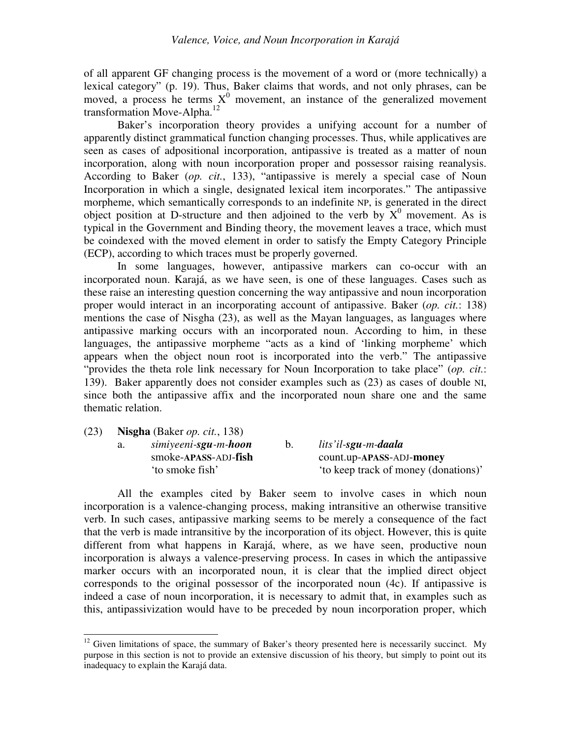of all apparent GF changing process is the movement of a word or (more technically) a lexical category" (p. 19). Thus, Baker claims that words, and not only phrases, can be moved, a process he terms  $X^0$  movement, an instance of the generalized movement transformation Move-Alpha.<sup>12</sup>

Baker's incorporation theory provides a unifying account for a number of apparently distinct grammatical function changing processes. Thus, while applicatives are seen as cases of adpositional incorporation, antipassive is treated as a matter of noun incorporation, along with noun incorporation proper and possessor raising reanalysis. According to Baker (*op. cit.*, 133), "antipassive is merely a special case of Noun Incorporation in which a single, designated lexical item incorporates." The antipassive morpheme, which semantically corresponds to an indefinite NP, is generated in the direct object position at D-structure and then adjoined to the verb by  $X^0$  movement. As is typical in the Government and Binding theory, the movement leaves a trace, which must be coindexed with the moved element in order to satisfy the Empty Category Principle (ECP), according to which traces must be properly governed.

In some languages, however, antipassive markers can co-occur with an incorporated noun. Karajá, as we have seen, is one of these languages. Cases such as these raise an interesting question concerning the way antipassive and noun incorporation proper would interact in an incorporating account of antipassive. Baker (*op. cit.*: 138) mentions the case of Nisgha (23), as well as the Mayan languages, as languages where antipassive marking occurs with an incorporated noun. According to him, in these languages, the antipassive morpheme "acts as a kind of 'linking morpheme' which appears when the object noun root is incorporated into the verb." The antipassive "provides the theta role link necessary for Noun Incorporation to take place" (*op. cit.*: 139). Baker apparently does not consider examples such as (23) as cases of double NI, since both the antipassive affix and the incorporated noun share one and the same thematic relation.

| (23) | <b>Nisgha</b> (Baker <i>op. cit.,</i> 138) |                                       |    |                                      |  |  |  |
|------|--------------------------------------------|---------------------------------------|----|--------------------------------------|--|--|--|
|      | a.                                         | simiyeeni-s <b>gu</b> -m- <b>hoon</b> | b. | lits'il-sgu-m-daala                  |  |  |  |
|      |                                            | smoke-APASS-ADJ-fish                  |    | count.up-APASS-ADJ-money             |  |  |  |
|      |                                            | 'to smoke fish'                       |    | 'to keep track of money (donations)' |  |  |  |

All the examples cited by Baker seem to involve cases in which noun incorporation is a valence-changing process, making intransitive an otherwise transitive verb. In such cases, antipassive marking seems to be merely a consequence of the fact that the verb is made intransitive by the incorporation of its object. However, this is quite different from what happens in Karajá, where, as we have seen, productive noun incorporation is always a valence-preserving process. In cases in which the antipassive marker occurs with an incorporated noun, it is clear that the implied direct object corresponds to the original possessor of the incorporated noun (4c). If antipassive is indeed a case of noun incorporation, it is necessary to admit that, in examples such as this, antipassivization would have to be preceded by noun incorporation proper, which

 $12$  Given limitations of space, the summary of Baker's theory presented here is necessarily succinct. My purpose in this section is not to provide an extensive discussion of his theory, but simply to point out its inadequacy to explain the Karajá data.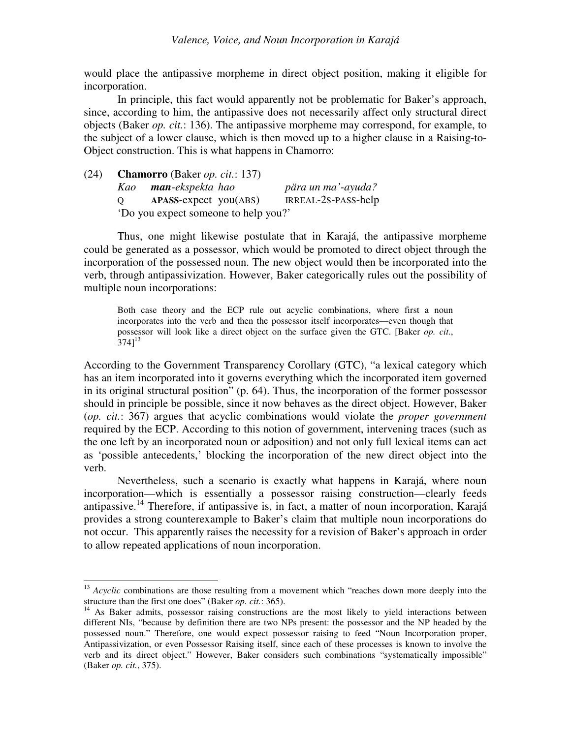would place the antipassive morpheme in direct object position, making it eligible for incorporation.

In principle, this fact would apparently not be problematic for Baker's approach, since, according to him, the antipassive does not necessarily affect only structural direct objects (Baker *op. cit.*: 136). The antipassive morpheme may correspond, for example, to the subject of a lower clause, which is then moved up to a higher clause in a Raising-to-Object construction. This is what happens in Chamorro:

(24) **Chamorro** (Baker *op. cit.*: 137) *Kao man-ekspekta hao pära un ma'-ayuda?* Q **APASS**-expect you(ABS) IRREAL-2S-PASS-help 'Do you expect someone to help you?'

Thus, one might likewise postulate that in Karajá, the antipassive morpheme could be generated as a possessor, which would be promoted to direct object through the incorporation of the possessed noun. The new object would then be incorporated into the verb, through antipassivization. However, Baker categorically rules out the possibility of multiple noun incorporations:

Both case theory and the ECP rule out acyclic combinations, where first a noun incorporates into the verb and then the possessor itself incorporates—even though that possessor will look like a direct object on the surface given the GTC. [Baker *op. cit.*,  $[374]^{13}$ 

According to the Government Transparency Corollary (GTC), "a lexical category which has an item incorporated into it governs everything which the incorporated item governed in its original structural position" (p. 64). Thus, the incorporation of the former possessor should in principle be possible, since it now behaves as the direct object. However, Baker (*op. cit.*: 367) argues that acyclic combinations would violate the *proper government* required by the ECP. According to this notion of government, intervening traces (such as the one left by an incorporated noun or adposition) and not only full lexical items can act as 'possible antecedents,' blocking the incorporation of the new direct object into the verb.

Nevertheless, such a scenario is exactly what happens in Karajá, where noun incorporation—which is essentially a possessor raising construction—clearly feeds antipassive.<sup>14</sup> Therefore, if antipassive is, in fact, a matter of noun incorporation, Karajá provides a strong counterexample to Baker's claim that multiple noun incorporations do not occur. This apparently raises the necessity for a revision of Baker's approach in order to allow repeated applications of noun incorporation.

<sup>&</sup>lt;sup>13</sup> *Acyclic* combinations are those resulting from a movement which "reaches down more deeply into the structure than the first one does" (Baker *op. cit.*: 365).

<sup>&</sup>lt;sup>14</sup> As Baker admits, possessor raising constructions are the most likely to yield interactions between different NIs, "because by definition there are two NPs present: the possessor and the NP headed by the possessed noun." Therefore, one would expect possessor raising to feed "Noun Incorporation proper, Antipassivization, or even Possessor Raising itself, since each of these processes is known to involve the verb and its direct object." However, Baker considers such combinations "systematically impossible" (Baker *op. cit.*, 375).